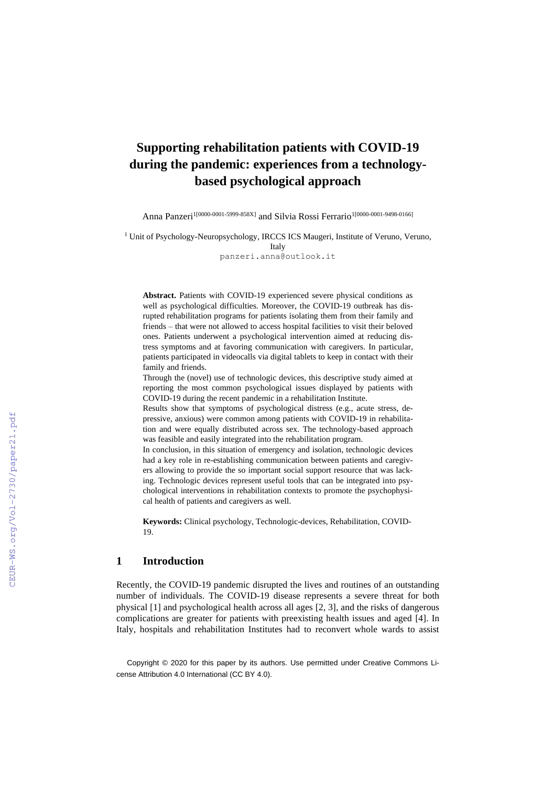# **Supporting rehabilitation patients with COVID-19 during the pandemic: experiences from a technologybased psychological approach**

Anna Panzeri<sup>1[0000-0001-5999-858X]</sup> and Silvia Rossi Ferrario<sup>1[0000-0001-9498-0166]</sup>

<sup>1</sup> Unit of Psychology-Neuropsychology, IRCCS ICS Maugeri, Institute of Veruno, Veruno,

Italy panzeri.anna@outlook.it

**Abstract.** Patients with COVID-19 experienced severe physical conditions as well as psychological difficulties. Moreover, the COVID-19 outbreak has disrupted rehabilitation programs for patients isolating them from their family and friends – that were not allowed to access hospital facilities to visit their beloved ones. Patients underwent a psychological intervention aimed at reducing distress symptoms and at favoring communication with caregivers. In particular, patients participated in videocalls via digital tablets to keep in contact with their family and friends.

Through the (novel) use of technologic devices, this descriptive study aimed at reporting the most common psychological issues displayed by patients with COVID-19 during the recent pandemic in a rehabilitation Institute.

Results show that symptoms of psychological distress (e.g., acute stress, depressive, anxious) were common among patients with COVID-19 in rehabilitation and were equally distributed across sex. The technology-based approach was feasible and easily integrated into the rehabilitation program.

In conclusion, in this situation of emergency and isolation, technologic devices had a key role in re-establishing communication between patients and caregivers allowing to provide the so important social support resource that was lacking. Technologic devices represent useful tools that can be integrated into psychological interventions in rehabilitation contexts to promote the psychophysical health of patients and caregivers as well.

**Keywords:** Clinical psychology, Technologic-devices, Rehabilitation, COVID-19.

#### **1 Introduction**

Recently, the COVID-19 pandemic disrupted the lives and routines of an outstanding number of individuals. The COVID-19 disease represents a severe threat for both physical [1] and psychological health across all ages [2, 3], and the risks of dangerous complications are greater for patients with preexisting health issues and aged [4]. In Italy, hospitals and rehabilitation Institutes had to reconvert whole wards to assist

Copyright © 2020 for this paper by its authors. Use permitted under Creative Commons License Attribution 4.0 International (CC BY 4.0).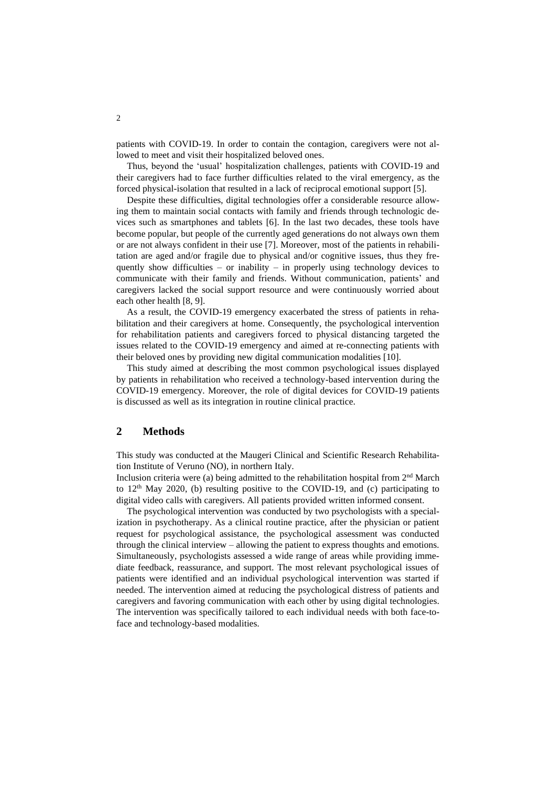patients with COVID-19. In order to contain the contagion, caregivers were not allowed to meet and visit their hospitalized beloved ones.

Thus, beyond the 'usual' hospitalization challenges, patients with COVID-19 and their caregivers had to face further difficulties related to the viral emergency, as the forced physical-isolation that resulted in a lack of reciprocal emotional support [5].

Despite these difficulties, digital technologies offer a considerable resource allowing them to maintain social contacts with family and friends through technologic devices such as smartphones and tablets [6]. In the last two decades, these tools have become popular, but people of the currently aged generations do not always own them or are not always confident in their use [7]. Moreover, most of the patients in rehabilitation are aged and/or fragile due to physical and/or cognitive issues, thus they frequently show difficulties – or inability – in properly using technology devices to communicate with their family and friends. Without communication, patients' and caregivers lacked the social support resource and were continuously worried about each other health [8, 9].

As a result, the COVID-19 emergency exacerbated the stress of patients in rehabilitation and their caregivers at home. Consequently, the psychological intervention for rehabilitation patients and caregivers forced to physical distancing targeted the issues related to the COVID-19 emergency and aimed at re-connecting patients with their beloved ones by providing new digital communication modalities [10].

This study aimed at describing the most common psychological issues displayed by patients in rehabilitation who received a technology-based intervention during the COVID-19 emergency. Moreover, the role of digital devices for COVID-19 patients is discussed as well as its integration in routine clinical practice.

### **2 Methods**

This study was conducted at the Maugeri Clinical and Scientific Research Rehabilitation Institute of Veruno (NO), in northern Italy.

Inclusion criteria were (a) being admitted to the rehabilitation hospital from  $2<sup>nd</sup>$  March to  $12<sup>th</sup>$  May 2020, (b) resulting positive to the COVID-19, and (c) participating to digital video calls with caregivers. All patients provided written informed consent.

The psychological intervention was conducted by two psychologists with a specialization in psychotherapy. As a clinical routine practice, after the physician or patient request for psychological assistance, the psychological assessment was conducted through the clinical interview – allowing the patient to express thoughts and emotions. Simultaneously, psychologists assessed a wide range of areas while providing immediate feedback, reassurance, and support. The most relevant psychological issues of patients were identified and an individual psychological intervention was started if needed. The intervention aimed at reducing the psychological distress of patients and caregivers and favoring communication with each other by using digital technologies. The intervention was specifically tailored to each individual needs with both face-toface and technology-based modalities.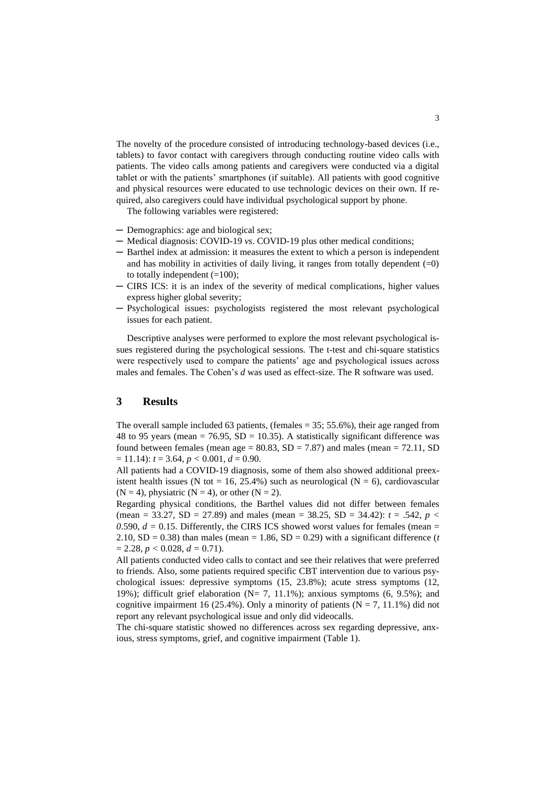The novelty of the procedure consisted of introducing technology-based devices (i.e., tablets) to favor contact with caregivers through conducting routine video calls with patients. The video calls among patients and caregivers were conducted via a digital tablet or with the patients' smartphones (if suitable). All patients with good cognitive and physical resources were educated to use technologic devices on their own. If required, also caregivers could have individual psychological support by phone.

The following variables were registered:

- ─ Demographics: age and biological sex;
- ─ Medical diagnosis: COVID-19 *vs*. COVID-19 plus other medical conditions;
- ─ Barthel index at admission: it measures the extent to which a person is independent and has mobility in activities of daily living, it ranges from totally dependent  $(=0)$ to totally independent  $(=100)$ ;
- ─ CIRS ICS: it is an index of the severity of medical complications, higher values express higher global severity;
- ─ Psychological issues: psychologists registered the most relevant psychological issues for each patient.

Descriptive analyses were performed to explore the most relevant psychological issues registered during the psychological sessions. The t-test and chi-square statistics were respectively used to compare the patients' age and psychological issues across males and females. The Cohen's *d* was used as effect-size. The R software was used.

## **3 Results**

The overall sample included 63 patients, (females = 35; 55.6%), their age ranged from 48 to 95 years (mean = 76.95,  $SD = 10.35$ ). A statistically significant difference was found between females (mean age =  $80.83$ , SD = 7.87) and males (mean = 72.11, SD  $= 11.14$ :  $t = 3.64$ ,  $p < 0.001$ ,  $d = 0.90$ .

All patients had a COVID-19 diagnosis, some of them also showed additional preexistent health issues (N tot = 16, 25.4%) such as neurological (N = 6), cardiovascular  $(N = 4)$ , physiatric  $(N = 4)$ , or other  $(N = 2)$ .

Regarding physical conditions, the Barthel values did not differ between females (mean = 33.27, SD = 27.89) and males (mean = 38.25, SD = 34.42): *t* = .542, *p <*  0.590,  $d = 0.15$ . Differently, the CIRS ICS showed worst values for females (mean = 2.10,  $SD = 0.38$ ) than males (mean  $= 1.86$ ,  $SD = 0.29$ ) with a significant difference (*t*  $= 2.28, p < 0.028, d = 0.71$ .

All patients conducted video calls to contact and see their relatives that were preferred to friends. Also, some patients required specific CBT intervention due to various psychological issues: depressive symptoms (15, 23.8%); acute stress symptoms (12, 19%); difficult grief elaboration ( $N= 7$ , 11.1%); anxious symptoms (6, 9.5%); and cognitive impairment 16 (25.4%). Only a minority of patients ( $N = 7$ , 11.1%) did not report any relevant psychological issue and only did videocalls.

The chi-square statistic showed no differences across sex regarding depressive, anxious, stress symptoms, grief, and cognitive impairment (Table 1).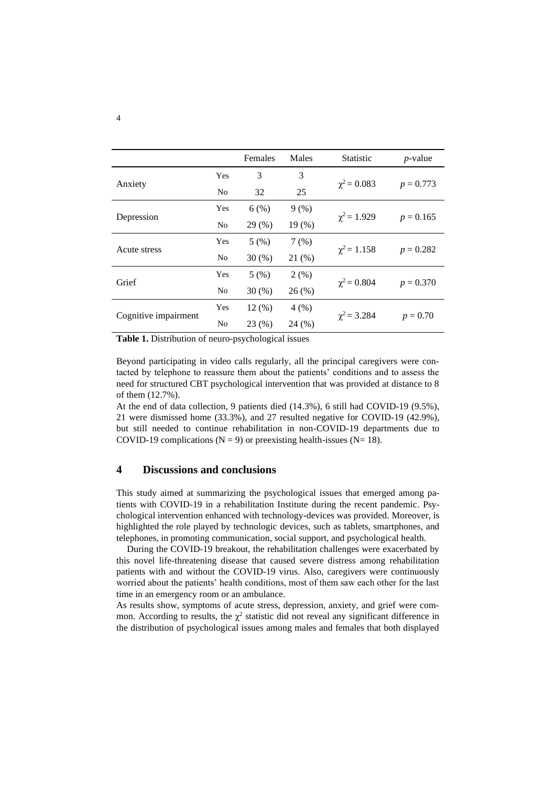|                      |                | Females | Males  | <b>Statistic</b> | $p$ -value  |
|----------------------|----------------|---------|--------|------------------|-------------|
| Anxiety              | Yes            | 3       | 3      | $\chi^2 = 0.083$ | $p = 0.773$ |
|                      | N <sub>0</sub> | 32      | 25     |                  |             |
| Depression           | Yes            | 6(%)    | 9(%)   | $\chi^2$ = 1.929 | $p = 0.165$ |
|                      | N <sub>0</sub> | 29(%)   | 19(% ) |                  |             |
| Acute stress         | Yes            | 5(%)    | 7(%)   | $\chi^2$ = 1.158 | $p = 0.282$ |
|                      | N <sub>0</sub> | 30(%)   | 21(%)  |                  |             |
| Grief                | Yes            | 5(%)    | 2(%)   | $\chi^2 = 0.804$ | $p = 0.370$ |
|                      | N <sub>0</sub> | 30(%)   | 26(%)  |                  |             |
| Cognitive impairment | Yes            | 12(%)   | 4(%)   | $\chi^2 = 3.284$ | $p = 0.70$  |
|                      | N <sub>0</sub> | 23(%)   | 24(%)  |                  |             |

**Table 1.** Distribution of neuro-psychological issues

Beyond participating in video calls regularly, all the principal caregivers were contacted by telephone to reassure them about the patients' conditions and to assess the need for structured CBT psychological intervention that was provided at distance to 8 of them (12.7%).

At the end of data collection, 9 patients died (14.3%), 6 still had COVID-19 (9.5%), 21 were dismissed home (33.3%), and 27 resulted negative for COVID-19 (42.9%), but still needed to continue rehabilitation in non-COVID-19 departments due to COVID-19 complications ( $N = 9$ ) or preexisting health-issues ( $N = 18$ ).

# **4 Discussions and conclusions**

This study aimed at summarizing the psychological issues that emerged among patients with COVID-19 in a rehabilitation Institute during the recent pandemic. Psychological intervention enhanced with technology-devices was provided. Moreover, is highlighted the role played by technologic devices, such as tablets, smartphones, and telephones, in promoting communication, social support, and psychological health.

During the COVID-19 breakout, the rehabilitation challenges were exacerbated by this novel life-threatening disease that caused severe distress among rehabilitation patients with and without the COVID-19 virus. Also, caregivers were continuously worried about the patients' health conditions, most of them saw each other for the last time in an emergency room or an ambulance.

As results show, symptoms of acute stress, depression, anxiety, and grief were common. According to results, the  $\chi^2$  statistic did not reveal any significant difference in the distribution of psychological issues among males and females that both displayed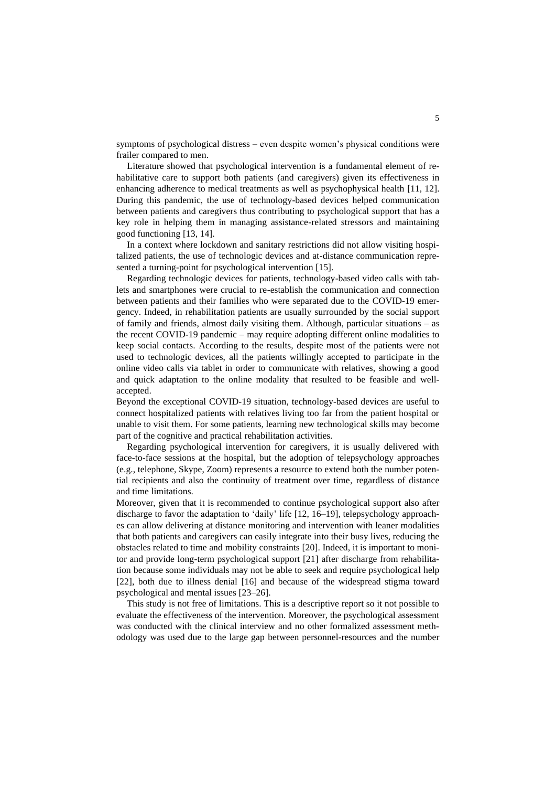symptoms of psychological distress – even despite women's physical conditions were frailer compared to men.

Literature showed that psychological intervention is a fundamental element of rehabilitative care to support both patients (and caregivers) given its effectiveness in enhancing adherence to medical treatments as well as psychophysical health [11, 12]. During this pandemic, the use of technology-based devices helped communication between patients and caregivers thus contributing to psychological support that has a key role in helping them in managing assistance-related stressors and maintaining good functioning [13, 14].

In a context where lockdown and sanitary restrictions did not allow visiting hospitalized patients, the use of technologic devices and at-distance communication represented a turning-point for psychological intervention [15].

Regarding technologic devices for patients, technology-based video calls with tablets and smartphones were crucial to re-establish the communication and connection between patients and their families who were separated due to the COVID-19 emergency. Indeed, in rehabilitation patients are usually surrounded by the social support of family and friends, almost daily visiting them. Although, particular situations – as the recent COVID-19 pandemic – may require adopting different online modalities to keep social contacts. According to the results, despite most of the patients were not used to technologic devices, all the patients willingly accepted to participate in the online video calls via tablet in order to communicate with relatives, showing a good and quick adaptation to the online modality that resulted to be feasible and wellaccepted.

Beyond the exceptional COVID-19 situation, technology-based devices are useful to connect hospitalized patients with relatives living too far from the patient hospital or unable to visit them. For some patients, learning new technological skills may become part of the cognitive and practical rehabilitation activities.

Regarding psychological intervention for caregivers, it is usually delivered with face-to-face sessions at the hospital, but the adoption of telepsychology approaches (e.g., telephone, Skype, Zoom) represents a resource to extend both the number potential recipients and also the continuity of treatment over time, regardless of distance and time limitations.

Moreover, given that it is recommended to continue psychological support also after discharge to favor the adaptation to 'daily' life [12, 16–19], telepsychology approaches can allow delivering at distance monitoring and intervention with leaner modalities that both patients and caregivers can easily integrate into their busy lives, reducing the obstacles related to time and mobility constraints [20]. Indeed, it is important to monitor and provide long-term psychological support [21] after discharge from rehabilitation because some individuals may not be able to seek and require psychological help [22], both due to illness denial [16] and because of the widespread stigma toward psychological and mental issues [23–26].

This study is not free of limitations. This is a descriptive report so it not possible to evaluate the effectiveness of the intervention. Moreover, the psychological assessment was conducted with the clinical interview and no other formalized assessment methodology was used due to the large gap between personnel-resources and the number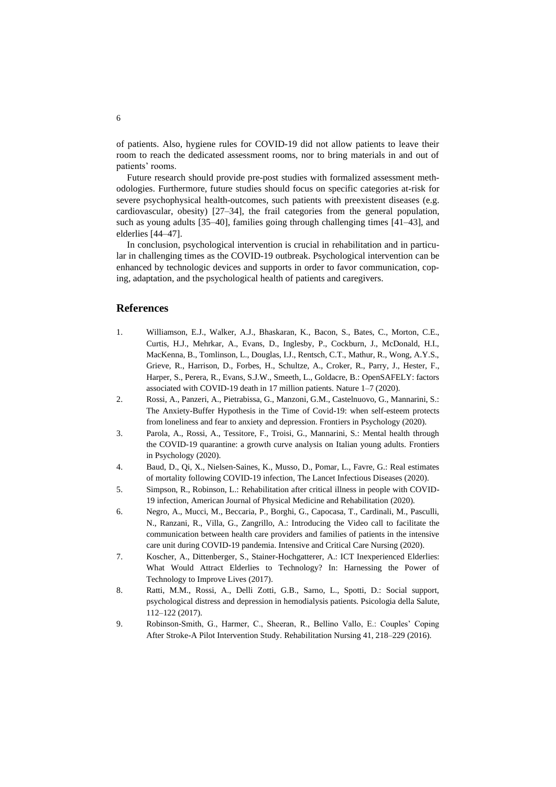of patients. Also, hygiene rules for COVID-19 did not allow patients to leave their room to reach the dedicated assessment rooms, nor to bring materials in and out of patients' rooms.

Future research should provide pre-post studies with formalized assessment methodologies. Furthermore, future studies should focus on specific categories at-risk for severe psychophysical health-outcomes, such patients with preexistent diseases (e.g. cardiovascular, obesity) [27–34], the frail categories from the general population, such as young adults [35–40], families going through challenging times [41–43], and elderlies [44–47].

In conclusion, psychological intervention is crucial in rehabilitation and in particular in challenging times as the COVID-19 outbreak. Psychological intervention can be enhanced by technologic devices and supports in order to favor communication, coping, adaptation, and the psychological health of patients and caregivers.

#### **References**

- 1. Williamson, E.J., Walker, A.J., Bhaskaran, K., Bacon, S., Bates, C., Morton, C.E., Curtis, H.J., Mehrkar, A., Evans, D., Inglesby, P., Cockburn, J., McDonald, H.I., MacKenna, B., Tomlinson, L., Douglas, I.J., Rentsch, C.T., Mathur, R., Wong, A.Y.S., Grieve, R., Harrison, D., Forbes, H., Schultze, A., Croker, R., Parry, J., Hester, F., Harper, S., Perera, R., Evans, S.J.W., Smeeth, L., Goldacre, B.: OpenSAFELY: factors associated with COVID-19 death in 17 million patients. Nature 1–7 (2020).
- 2. Rossi, A., Panzeri, A., Pietrabissa, G., Manzoni, G.M., Castelnuovo, G., Mannarini, S.: The Anxiety-Buffer Hypothesis in the Time of Covid-19: when self-esteem protects from loneliness and fear to anxiety and depression. Frontiers in Psychology (2020).
- 3. Parola, A., Rossi, A., Tessitore, F., Troisi, G., Mannarini, S.: Mental health through the COVID-19 quarantine: a growth curve analysis on Italian young adults. Frontiers in Psychology (2020).
- 4. Baud, D., Qi, X., Nielsen-Saines, K., Musso, D., Pomar, L., Favre, G.: Real estimates of mortality following COVID-19 infection, The Lancet Infectious Diseases (2020).
- 5. Simpson, R., Robinson, L.: Rehabilitation after critical illness in people with COVID-19 infection, American Journal of Physical Medicine and Rehabilitation (2020).
- 6. Negro, A., Mucci, M., Beccaria, P., Borghi, G., Capocasa, T., Cardinali, M., Pasculli, N., Ranzani, R., Villa, G., Zangrillo, A.: Introducing the Video call to facilitate the communication between health care providers and families of patients in the intensive care unit during COVID-19 pandemia. Intensive and Critical Care Nursing (2020).
- 7. Koscher, A., Dittenberger, S., Stainer-Hochgatterer, A.: ICT Inexperienced Elderlies: What Would Attract Elderlies to Technology? In: Harnessing the Power of Technology to Improve Lives (2017).
- 8. Ratti, M.M., Rossi, A., Delli Zotti, G.B., Sarno, L., Spotti, D.: Social support, psychological distress and depression in hemodialysis patients. Psicologia della Salute, 112–122 (2017).
- 9. Robinson-Smith, G., Harmer, C., Sheeran, R., Bellino Vallo, E.: Couples' Coping After Stroke-A Pilot Intervention Study. Rehabilitation Nursing 41, 218–229 (2016).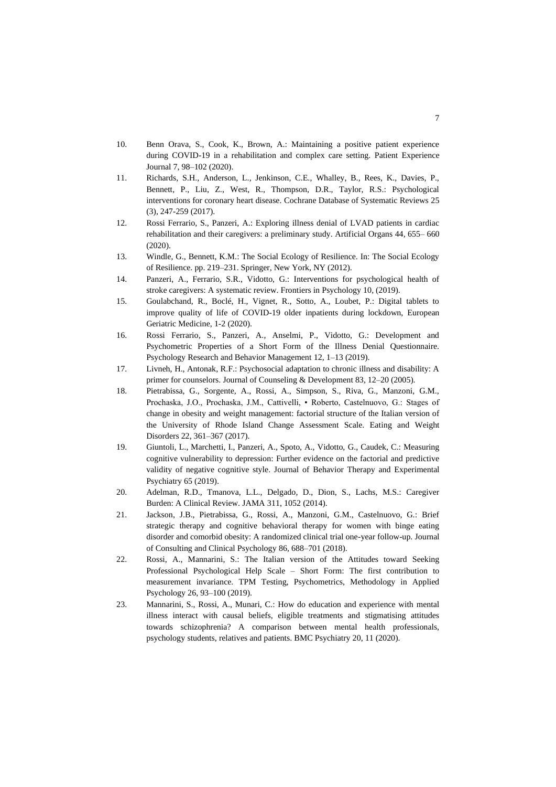- 10. Benn Orava, S., Cook, K., Brown, A.: Maintaining a positive patient experience during COVID-19 in a rehabilitation and complex care setting. Patient Experience Journal 7, 98–102 (2020).
- 11. Richards, S.H., Anderson, L., Jenkinson, C.E., Whalley, B., Rees, K., Davies, P., Bennett, P., Liu, Z., West, R., Thompson, D.R., Taylor, R.S.: Psychological interventions for coronary heart disease. Cochrane Database of Systematic Reviews 25 (3), 247-259 (2017).
- 12. Rossi Ferrario, S., Panzeri, A.: Exploring illness denial of LVAD patients in cardiac rehabilitation and their caregivers: a preliminary study. Artificial Organs 44, 655– 660 (2020).
- 13. Windle, G., Bennett, K.M.: The Social Ecology of Resilience. In: The Social Ecology of Resilience. pp. 219–231. Springer, New York, NY (2012).
- 14. Panzeri, A., Ferrario, S.R., Vidotto, G.: Interventions for psychological health of stroke caregivers: A systematic review. Frontiers in Psychology 10, (2019).
- 15. Goulabchand, R., Boclé, H., Vignet, R., Sotto, A., Loubet, P.: Digital tablets to improve quality of life of COVID-19 older inpatients during lockdown, European Geriatric Medicine, 1-2 (2020).
- 16. Rossi Ferrario, S., Panzeri, A., Anselmi, P., Vidotto, G.: Development and Psychometric Properties of a Short Form of the Illness Denial Questionnaire. Psychology Research and Behavior Management 12, 1–13 (2019).
- 17. Livneh, H., Antonak, R.F.: Psychosocial adaptation to chronic illness and disability: A primer for counselors. Journal of Counseling & Development 83, 12–20 (2005).
- 18. Pietrabissa, G., Sorgente, A., Rossi, A., Simpson, S., Riva, G., Manzoni, G.M., Prochaska, J.O., Prochaska, J.M., Cattivelli, • Roberto, Castelnuovo, G.: Stages of change in obesity and weight management: factorial structure of the Italian version of the University of Rhode Island Change Assessment Scale. Eating and Weight Disorders 22, 361–367 (2017).
- 19. Giuntoli, L., Marchetti, I., Panzeri, A., Spoto, A., Vidotto, G., Caudek, C.: Measuring cognitive vulnerability to depression: Further evidence on the factorial and predictive validity of negative cognitive style. Journal of Behavior Therapy and Experimental Psychiatry 65 (2019).
- 20. Adelman, R.D., Tmanova, L.L., Delgado, D., Dion, S., Lachs, M.S.: Caregiver Burden: A Clinical Review. JAMA 311, 1052 (2014).
- 21. Jackson, J.B., Pietrabissa, G., Rossi, A., Manzoni, G.M., Castelnuovo, G.: Brief strategic therapy and cognitive behavioral therapy for women with binge eating disorder and comorbid obesity: A randomized clinical trial one-year follow-up. Journal of Consulting and Clinical Psychology 86, 688–701 (2018).
- 22. Rossi, A., Mannarini, S.: The Italian version of the Attitudes toward Seeking Professional Psychological Help Scale – Short Form: The first contribution to measurement invariance. TPM Testing, Psychometrics, Methodology in Applied Psychology 26, 93–100 (2019).
- 23. Mannarini, S., Rossi, A., Munari, C.: How do education and experience with mental illness interact with causal beliefs, eligible treatments and stigmatising attitudes towards schizophrenia? A comparison between mental health professionals, psychology students, relatives and patients. BMC Psychiatry 20, 11 (2020).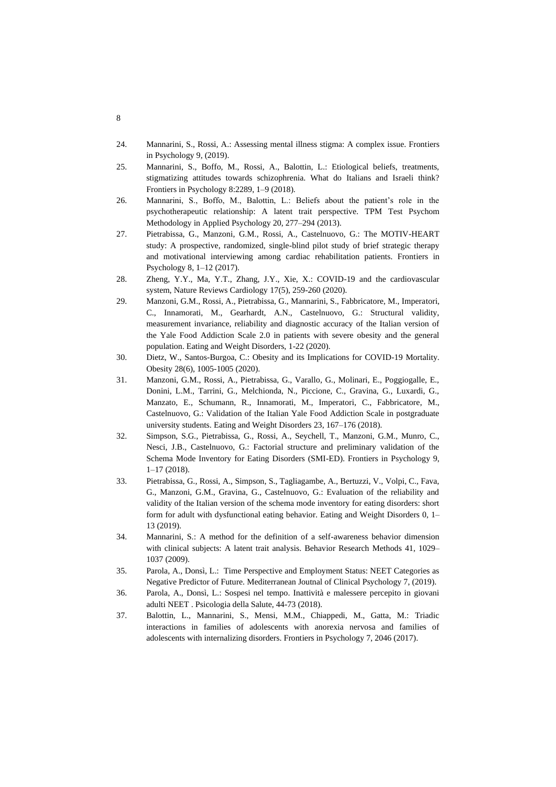- 24. Mannarini, S., Rossi, A.: Assessing mental illness stigma: A complex issue. Frontiers in Psychology 9, (2019).
- 25. Mannarini, S., Boffo, M., Rossi, A., Balottin, L.: Etiological beliefs, treatments, stigmatizing attitudes towards schizophrenia. What do Italians and Israeli think? Frontiers in Psychology 8:2289, 1–9 (2018).
- 26. Mannarini, S., Boffo, M., Balottin, L.: Beliefs about the patient's role in the psychotherapeutic relationship: A latent trait perspective. TPM Test Psychom Methodology in Applied Psychology 20, 277–294 (2013).
- 27. Pietrabissa, G., Manzoni, G.M., Rossi, A., Castelnuovo, G.: The MOTIV-HEART study: A prospective, randomized, single-blind pilot study of brief strategic therapy and motivational interviewing among cardiac rehabilitation patients. Frontiers in Psychology 8, 1–12 (2017).
- 28. Zheng, Y.Y., Ma, Y.T., Zhang, J.Y., Xie, X.: COVID-19 and the cardiovascular system, Nature Reviews Cardiology 17(5), 259-260 (2020).
- 29. Manzoni, G.M., Rossi, A., Pietrabissa, G., Mannarini, S., Fabbricatore, M., Imperatori, C., Innamorati, M., Gearhardt, A.N., Castelnuovo, G.: Structural validity, measurement invariance, reliability and diagnostic accuracy of the Italian version of the Yale Food Addiction Scale 2.0 in patients with severe obesity and the general population. Eating and Weight Disorders, 1-22 (2020).
- 30. Dietz, W., Santos-Burgoa, C.: Obesity and its Implications for COVID-19 Mortality. Obesity 28(6), 1005-1005 (2020).
- 31. Manzoni, G.M., Rossi, A., Pietrabissa, G., Varallo, G., Molinari, E., Poggiogalle, E., Donini, L.M., Tarrini, G., Melchionda, N., Piccione, C., Gravina, G., Luxardi, G., Manzato, E., Schumann, R., Innamorati, M., Imperatori, C., Fabbricatore, M., Castelnuovo, G.: Validation of the Italian Yale Food Addiction Scale in postgraduate university students. Eating and Weight Disorders 23, 167–176 (2018).
- 32. Simpson, S.G., Pietrabissa, G., Rossi, A., Seychell, T., Manzoni, G.M., Munro, C., Nesci, J.B., Castelnuovo, G.: Factorial structure and preliminary validation of the Schema Mode Inventory for Eating Disorders (SMI-ED). Frontiers in Psychology 9, 1–17 (2018).
- 33. Pietrabissa, G., Rossi, A., Simpson, S., Tagliagambe, A., Bertuzzi, V., Volpi, C., Fava, G., Manzoni, G.M., Gravina, G., Castelnuovo, G.: Evaluation of the reliability and validity of the Italian version of the schema mode inventory for eating disorders: short form for adult with dysfunctional eating behavior. Eating and Weight Disorders 0, 1– 13 (2019).
- 34. Mannarini, S.: A method for the definition of a self-awareness behavior dimension with clinical subjects: A latent trait analysis. Behavior Research Methods 41, 1029– 1037 (2009).
- 35. Parola, A., Donsì, L.: Time Perspective and Employment Status: NEET Categories as Negative Predictor of Future. Mediterranean Joutnal of Clinical Psychology 7, (2019).
- 36. Parola, A., Donsì, L.: Sospesi nel tempo. Inattività e malessere percepito in giovani adulti NEET . Psicologia della Salute, 44-73 (2018).
- 37. Balottin, L., Mannarini, S., Mensi, M.M., Chiappedi, M., Gatta, M.: Triadic interactions in families of adolescents with anorexia nervosa and families of adolescents with internalizing disorders. Frontiers in Psychology 7, 2046 (2017).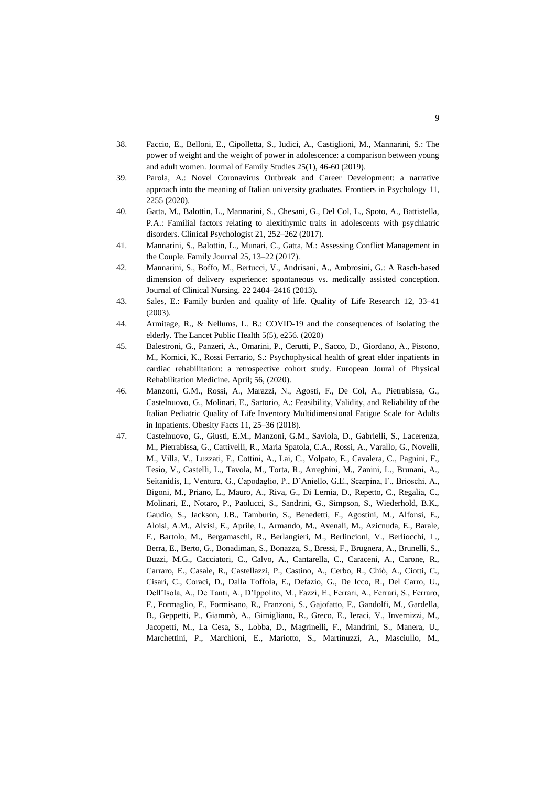- 38. Faccio, E., Belloni, E., Cipolletta, S., Iudici, A., Castiglioni, M., Mannarini, S.: The power of weight and the weight of power in adolescence: a comparison between young and adult women. Journal of Family Studies 25(1), 46-60 (2019).
- 39. Parola, A.: Novel Coronavirus Outbreak and Career Development: a narrative approach into the meaning of Italian university graduates. Frontiers in Psychology 11, 2255 (2020).
- 40. Gatta, M., Balottin, L., Mannarini, S., Chesani, G., Del Col, L., Spoto, A., Battistella, P.A.: Familial factors relating to alexithymic traits in adolescents with psychiatric disorders. Clinical Psychologist 21, 252–262 (2017).
- 41. Mannarini, S., Balottin, L., Munari, C., Gatta, M.: Assessing Conflict Management in the Couple. Family Journal 25, 13–22 (2017).
- 42. Mannarini, S., Boffo, M., Bertucci, V., Andrisani, A., Ambrosini, G.: A Rasch-based dimension of delivery experience: spontaneous vs. medically assisted conception. Journal of Clinical Nursing. 22 2404–2416 (2013).
- 43. Sales, E.: Family burden and quality of life. Quality of Life Research 12, 33–41 (2003).
- 44. Armitage, R., & Nellums, L. B.: COVID-19 and the consequences of isolating the elderly. The Lancet Public Health 5(5), e256. (2020)
- 45. Balestroni, G., Panzeri, A., Omarini, P., Cerutti, P., Sacco, D., Giordano, A., Pistono, M., Komici, K., Rossi Ferrario, S.: Psychophysical health of great elder inpatients in cardiac rehabilitation: a retrospective cohort study. European Joural of Physical Rehabilitation Medicine. April; 56, (2020).
- 46. Manzoni, G.M., Rossi, A., Marazzi, N., Agosti, F., De Col, A., Pietrabissa, G., Castelnuovo, G., Molinari, E., Sartorio, A.: Feasibility, Validity, and Reliability of the Italian Pediatric Quality of Life Inventory Multidimensional Fatigue Scale for Adults in Inpatients. Obesity Facts 11, 25–36 (2018).
- 47. Castelnuovo, G., Giusti, E.M., Manzoni, G.M., Saviola, D., Gabrielli, S., Lacerenza, M., Pietrabissa, G., Cattivelli, R., Maria Spatola, C.A., Rossi, A., Varallo, G., Novelli, M., Villa, V., Luzzati, F., Cottini, A., Lai, C., Volpato, E., Cavalera, C., Pagnini, F., Tesio, V., Castelli, L., Tavola, M., Torta, R., Arreghini, M., Zanini, L., Brunani, A., Seitanidis, I., Ventura, G., Capodaglio, P., D'Aniello, G.E., Scarpina, F., Brioschi, A., Bigoni, M., Priano, L., Mauro, A., Riva, G., Di Lernia, D., Repetto, C., Regalia, C., Molinari, E., Notaro, P., Paolucci, S., Sandrini, G., Simpson, S., Wiederhold, B.K., Gaudio, S., Jackson, J.B., Tamburin, S., Benedetti, F., Agostini, M., Alfonsi, E., Aloisi, A.M., Alvisi, E., Aprile, I., Armando, M., Avenali, M., Azicnuda, E., Barale, F., Bartolo, M., Bergamaschi, R., Berlangieri, M., Berlincioni, V., Berliocchi, L., Berra, E., Berto, G., Bonadiman, S., Bonazza, S., Bressi, F., Brugnera, A., Brunelli, S., Buzzi, M.G., Cacciatori, C., Calvo, A., Cantarella, C., Caraceni, A., Carone, R., Carraro, E., Casale, R., Castellazzi, P., Castino, A., Cerbo, R., Chiò, A., Ciotti, C., Cisari, C., Coraci, D., Dalla Toffola, E., Defazio, G., De Icco, R., Del Carro, U., Dell'Isola, A., De Tanti, A., D'Ippolito, M., Fazzi, E., Ferrari, A., Ferrari, S., Ferraro, F., Formaglio, F., Formisano, R., Franzoni, S., Gajofatto, F., Gandolfi, M., Gardella, B., Geppetti, P., Giammò, A., Gimigliano, R., Greco, E., Ieraci, V., Invernizzi, M., Jacopetti, M., La Cesa, S., Lobba, D., Magrinelli, F., Mandrini, S., Manera, U., Marchettini, P., Marchioni, E., Mariotto, S., Martinuzzi, A., Masciullo, M.,